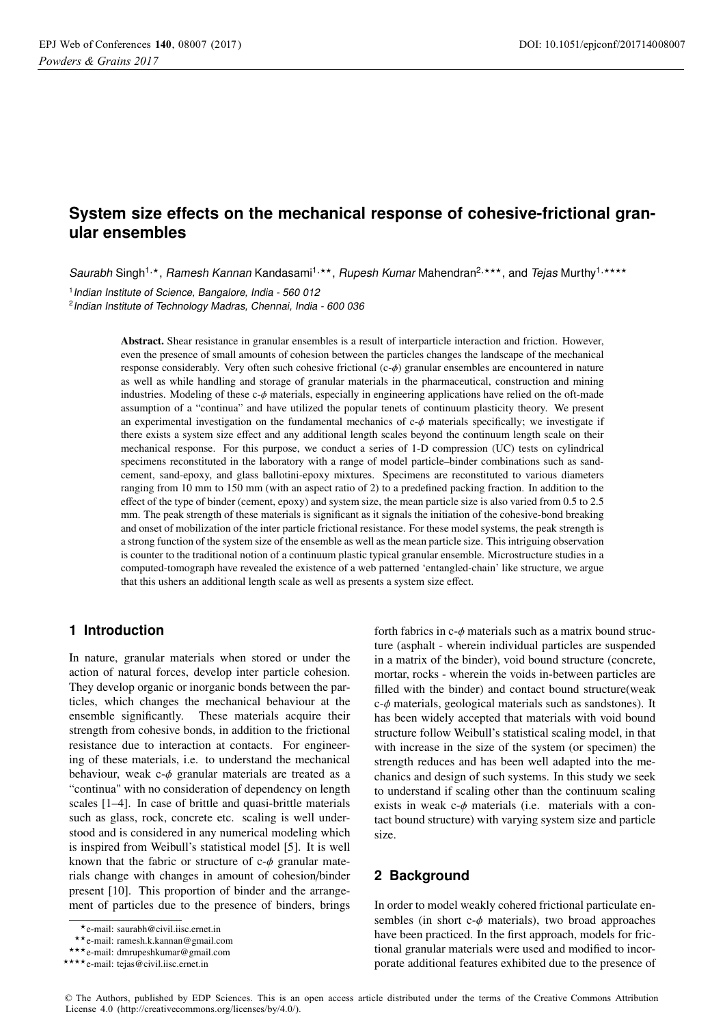# **System size effects on the mechanical response of cohesive-frictional granular ensembles**

Saurabh Singh<sup>1,\*</sup>, Ramesh Kannan Kandasami<sup>1,\*\*</sup>, Rupesh Kumar Mahendran<sup>2,\*\*\*</sup>, and *Tejas* Murthy<sup>1,\*\*\*\*</sup>

<sup>1</sup> Indian Institute of Science, Bangalore, India - 560 012

2 Indian Institute of Technology Madras, Chennai, India - 600 036

Abstract. Shear resistance in granular ensembles is a result of interparticle interaction and friction. However, even the presence of small amounts of cohesion between the particles changes the landscape of the mechanical response considerably. Very often such cohesive frictional  $(c-\phi)$  granular ensembles are encountered in nature as well as while handling and storage of granular materials in the pharmaceutical, construction and mining industries. Modeling of these c-φ materials, especially in engineering applications have relied on the oft-made assumption of a "continua" and have utilized the popular tenets of continuum plasticity theory. We present an experimental investigation on the fundamental mechanics of  $c$ - $\phi$  materials specifically; we investigate if there exists a system size effect and any additional length scales beyond the continuum length scale on their mechanical response. For this purpose, we conduct a series of 1-D compression (UC) tests on cylindrical specimens reconstituted in the laboratory with a range of model particle–binder combinations such as sandcement, sand-epoxy, and glass ballotini-epoxy mixtures. Specimens are reconstituted to various diameters ranging from 10 mm to 150 mm (with an aspect ratio of 2) to a predefined packing fraction. In addition to the effect of the type of binder (cement, epoxy) and system size, the mean particle size is also varied from 0.5 to 2.5 mm. The peak strength of these materials is significant as it signals the initiation of the cohesive-bond breaking and onset of mobilization of the inter particle frictional resistance. For these model systems, the peak strength is a strong function of the system size of the ensemble as well as the mean particle size. This intriguing observation is counter to the traditional notion of a continuum plastic typical granular ensemble. Microstructure studies in a computed-tomograph have revealed the existence of a web patterned 'entangled-chain' like structure, we argue that this ushers an additional length scale as well as presents a system size effect.

## **1 Introduction**

In nature, granular materials when stored or under the action of natural forces, develop inter particle cohesion. They develop organic or inorganic bonds between the particles, which changes the mechanical behaviour at the ensemble significantly. These materials acquire their strength from cohesive bonds, in addition to the frictional resistance due to interaction at contacts. For engineering of these materials, i.e. to understand the mechanical behaviour, weak  $c-\phi$  granular materials are treated as a "continua" with no consideration of dependency on length scales [1–4]. In case of brittle and quasi-brittle materials such as glass, rock, concrete etc. scaling is well understood and is considered in any numerical modeling which is inspired from Weibull's statistical model [5]. It is well known that the fabric or structure of  $c-\phi$  granular materials change with changes in amount of cohesion/binder present [10]. This proportion of binder and the arrangement of particles due to the presence of binders, brings

forth fabrics in  $c-\phi$  materials such as a matrix bound structure (asphalt - wherein individual particles are suspended in a matrix of the binder), void bound structure (concrete, mortar, rocks - wherein the voids in-between particles are filled with the binder) and contact bound structure(weak  $c$ - $\phi$  materials, geological materials such as sandstones). It has been widely accepted that materials with void bound structure follow Weibull's statistical scaling model, in that with increase in the size of the system (or specimen) the strength reduces and has been well adapted into the mechanics and design of such systems. In this study we seek to understand if scaling other than the continuum scaling exists in weak  $c$ - $\phi$  materials (i.e. materials with a contact bound structure) with varying system size and particle size.

# **2 Background**

In order to model weakly cohered frictional particulate ensembles (in short  $c-\phi$  materials), two broad approaches have been practiced. In the first approach, models for frictional granular materials were used and modified to incorporate additional features exhibited due to the presence of

<sup>⋆</sup>e-mail: saurabh@civil.iisc.ernet.in

<sup>⋆⋆</sup>e-mail: ramesh.k.kannan@gmail.com

<sup>⋆⋆⋆</sup>e-mail: dmrupeshkumar@gmail.com

<sup>\*\*\*\*</sup> e-mail: tejas@civil.iisc.ernet.in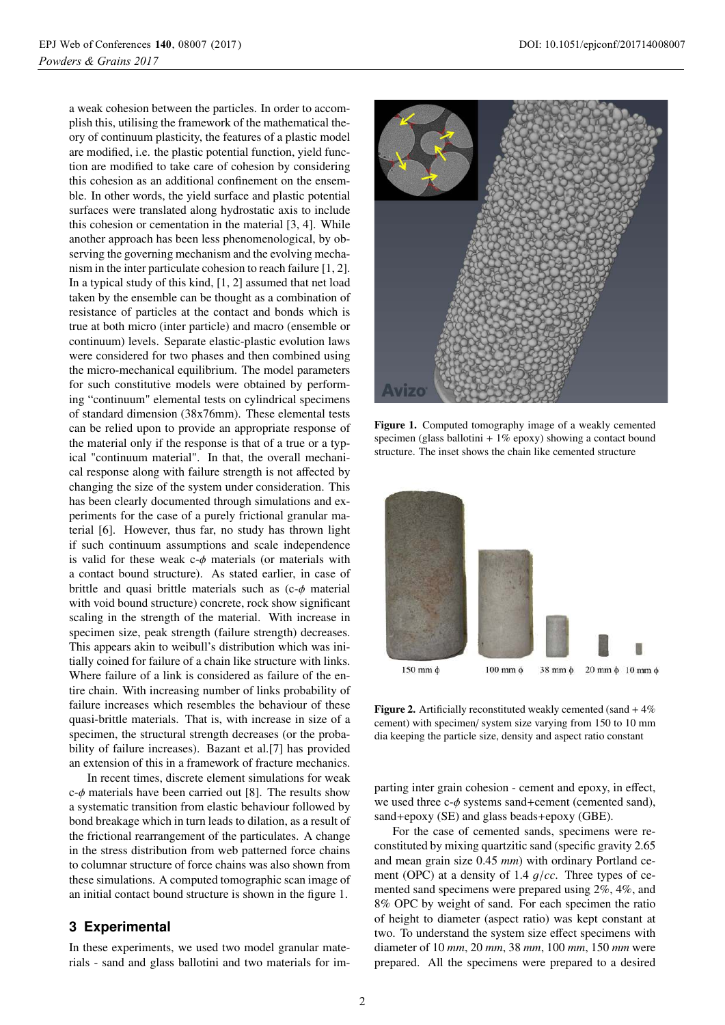a weak cohesion between the particles. In order to accomplish this, utilising the framework of the mathematical theory of continuum plasticity, the features of a plastic model are modified, i.e. the plastic potential function, yield function are modified to take care of cohesion by considering this cohesion as an additional confinement on the ensemble. In other words, the yield surface and plastic potential surfaces were translated along hydrostatic axis to include this cohesion or cementation in the material [3, 4]. While another approach has been less phenomenological, by observing the governing mechanism and the evolving mechanism in the inter particulate cohesion to reach failure [1, 2]. In a typical study of this kind, [1, 2] assumed that net load taken by the ensemble can be thought as a combination of resistance of particles at the contact and bonds which is true at both micro (inter particle) and macro (ensemble or continuum) levels. Separate elastic-plastic evolution laws were considered for two phases and then combined using the micro-mechanical equilibrium. The model parameters for such constitutive models were obtained by performing "continuum" elemental tests on cylindrical specimens of standard dimension (38x76mm). These elemental tests can be relied upon to provide an appropriate response of the material only if the response is that of a true or a typical "continuum material". In that, the overall mechanical response along with failure strength is not affected by changing the size of the system under consideration. This has been clearly documented through simulations and experiments for the case of a purely frictional granular material [6]. However, thus far, no study has thrown light if such continuum assumptions and scale independence is valid for these weak  $c-\phi$  materials (or materials with a contact bound structure). As stated earlier, in case of brittle and quasi brittle materials such as  $(c-\phi)$  material with void bound structure) concrete, rock show significant scaling in the strength of the material. With increase in specimen size, peak strength (failure strength) decreases. This appears akin to weibull's distribution which was initially coined for failure of a chain like structure with links. Where failure of a link is considered as failure of the entire chain. With increasing number of links probability of failure increases which resembles the behaviour of these quasi-brittle materials. That is, with increase in size of a specimen, the structural strength decreases (or the probability of failure increases). Bazant et al.[7] has provided an extension of this in a framework of fracture mechanics.

In recent times, discrete element simulations for weak  $c$ - $\phi$  materials have been carried out [8]. The results show a systematic transition from elastic behaviour followed by bond breakage which in turn leads to dilation, as a result of the frictional rearrangement of the particulates. A change in the stress distribution from web patterned force chains to columnar structure of force chains was also shown from these simulations. A computed tomographic scan image of an initial contact bound structure is shown in the figure 1.

# **3 Experimental**

In these experiments, we used two model granular materials - sand and glass ballotini and two materials for im-



Figure 1. Computed tomography image of a weakly cemented specimen (glass ballotini  $+1\%$  epoxy) showing a contact bound structure. The inset shows the chain like cemented structure



**Figure 2.** Artificially reconstituted weakly cemented (sand  $+4\%$ ) cement) with specimen/ system size varying from 150 to 10 mm dia keeping the particle size, density and aspect ratio constant

parting inter grain cohesion - cement and epoxy, in effect, we used three  $c-\phi$  systems sand+cement (cemented sand), sand+epoxy (SE) and glass beads+epoxy (GBE).

For the case of cemented sands, specimens were reconstituted by mixing quartzitic sand (specific gravity 2.65 and mean grain size 0.45 *mm*) with ordinary Portland cement (OPC) at a density of 1.4 g/*cc*. Three types of cemented sand specimens were prepared using 2%, 4%, and 8% OPC by weight of sand. For each specimen the ratio of height to diameter (aspect ratio) was kept constant at two. To understand the system size effect specimens with diameter of 10 *mm*, 20 *mm*, 38 *mm*, 100 *mm*, 150 *mm* were prepared. All the specimens were prepared to a desired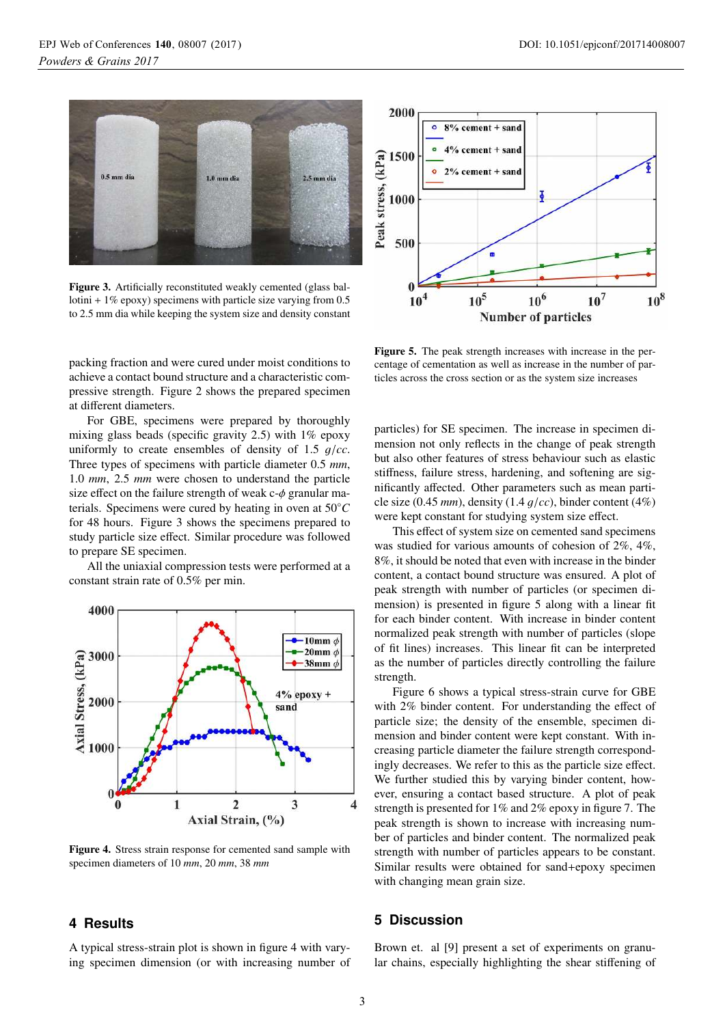

Figure 3. Artificially reconstituted weakly cemented (glass ballotini + 1% epoxy) specimens with particle size varying from 0.5 to 2.5 mm dia while keeping the system size and density constant

packing fraction and were cured under moist conditions to achieve a contact bound structure and a characteristic compressive strength. Figure 2 shows the prepared specimen at different diameters.

For GBE, specimens were prepared by thoroughly mixing glass beads (specific gravity  $2.5$ ) with  $1\%$  epoxy uniformly to create ensembles of density of 1.5 g/*cc*. Three types of specimens with particle diameter 0.5 *mm*, 1.0 *mm*, 2.5 *mm* were chosen to understand the particle size effect on the failure strength of weak  $c-\phi$  granular materials. Specimens were cured by heating in oven at 50◦*C* for 48 hours. Figure 3 shows the specimens prepared to study particle size effect. Similar procedure was followed to prepare SE specimen.

All the uniaxial compression tests were performed at a constant strain rate of 0.5% per min.



Figure 4. Stress strain response for cemented sand sample with specimen diameters of 10 *mm*, 20 *mm*, 38 *mm*

#### **4 Results**

A typical stress-strain plot is shown in figure 4 with varying specimen dimension (or with increasing number of



Figure 5. The peak strength increases with increase in the percentage of cementation as well as increase in the number of particles across the cross section or as the system size increases

particles) for SE specimen. The increase in specimen dimension not only reflects in the change of peak strength but also other features of stress behaviour such as elastic stiffness, failure stress, hardening, and softening are significantly affected. Other parameters such as mean particle size (0.45 *mm*), density (1.4 g/*cc*), binder content (4%) were kept constant for studying system size effect.

This effect of system size on cemented sand specimens was studied for various amounts of cohesion of 2%, 4%, 8%, it should be noted that even with increase in the binder content, a contact bound structure was ensured. A plot of peak strength with number of particles (or specimen dimension) is presented in figure 5 along with a linear fit for each binder content. With increase in binder content normalized peak strength with number of particles (slope of fit lines) increases. This linear fit can be interpreted as the number of particles directly controlling the failure strength.

Figure 6 shows a typical stress-strain curve for GBE with 2% binder content. For understanding the effect of particle size; the density of the ensemble, specimen dimension and binder content were kept constant. With increasing particle diameter the failure strength correspondingly decreases. We refer to this as the particle size effect. We further studied this by varying binder content, however, ensuring a contact based structure. A plot of peak strength is presented for 1% and 2% epoxy in figure 7. The peak strength is shown to increase with increasing number of particles and binder content. The normalized peak strength with number of particles appears to be constant. Similar results were obtained for sand+epoxy specimen with changing mean grain size.

## **5 Discussion**

Brown et. al [9] present a set of experiments on granular chains, especially highlighting the shear stiffening of